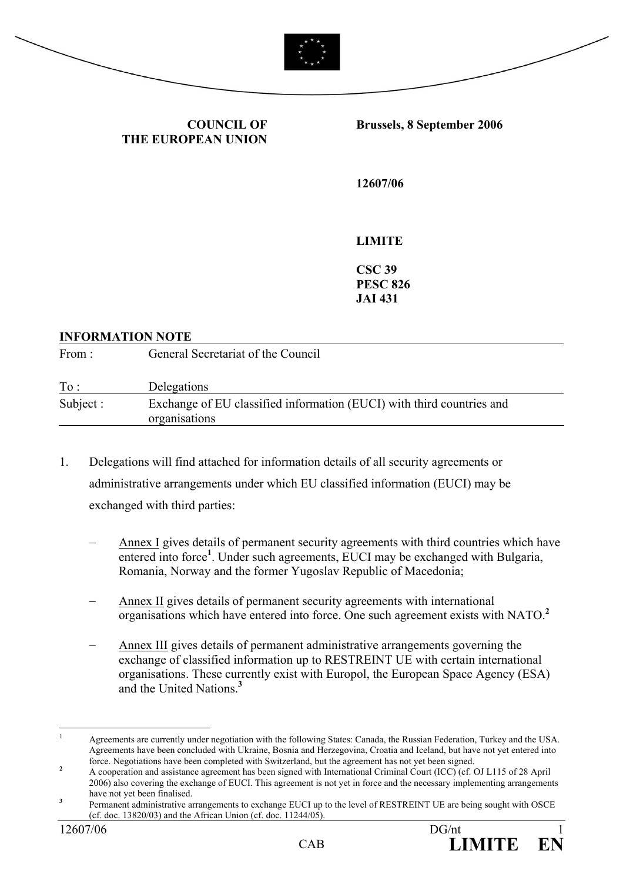



**COUNCIL OF THE EUROPEAN UNION** **Brussels, 8 September 2006** 

**12607/06** 

**LIMITE** 

**CSC 39 PESC 826 JAI 431** 

#### **INFORMATION NOTE**

| From:     | General Secretariat of the Council                                                     |  |
|-----------|----------------------------------------------------------------------------------------|--|
| To:       | Delegations                                                                            |  |
| Subject : | Exchange of EU classified information (EUCI) with third countries and<br>organisations |  |

- 1. Delegations will find attached for information details of all security agreements or administrative arrangements under which EU classified information (EUCI) may be exchanged with third parties:
	- Annex I gives details of permanent security agreements with third countries which have entered into force<sup>1</sup>. Under such agreements, EUCI may be exchanged with Bulgaria, Romania, Norway and the former Yugoslav Republic of Macedonia;
	- Annex II gives details of permanent security agreements with international organisations which have entered into force. One such agreement exists with NATO.**<sup>2</sup>**
	- Annex III gives details of permanent administrative arrangements governing the exchange of classified information up to RESTREINT UE with certain international organisations. These currently exist with Europol, the European Space Agency (ESA) and the United Nations.**<sup>3</sup>**

 $\overline{1}$ <sup>1</sup> Agreements are currently under negotiation with the following States: Canada, the Russian Federation, Turkey and the USA. Agreements have been concluded with Ukraine, Bosnia and Herzegovina, Croatia and Iceland, but have not yet entered into force. Negotiations have been completed with Switzerland, but the agreement has not yet been signed. **<sup>2</sup>**

A cooperation and assistance agreement has been signed with International Criminal Court (ICC) (cf. OJ L115 of 28 April 2006) also covering the exchange of EUCI. This agreement is not yet in force and the necessary implementing arrangements have not yet been finalised. **<sup>3</sup>**

Permanent administrative arrangements to exchange EUCI up to the level of RESTREINT UE are being sought with OSCE (cf. doc. 13820/03) and the African Union (cf. doc. 11244/05).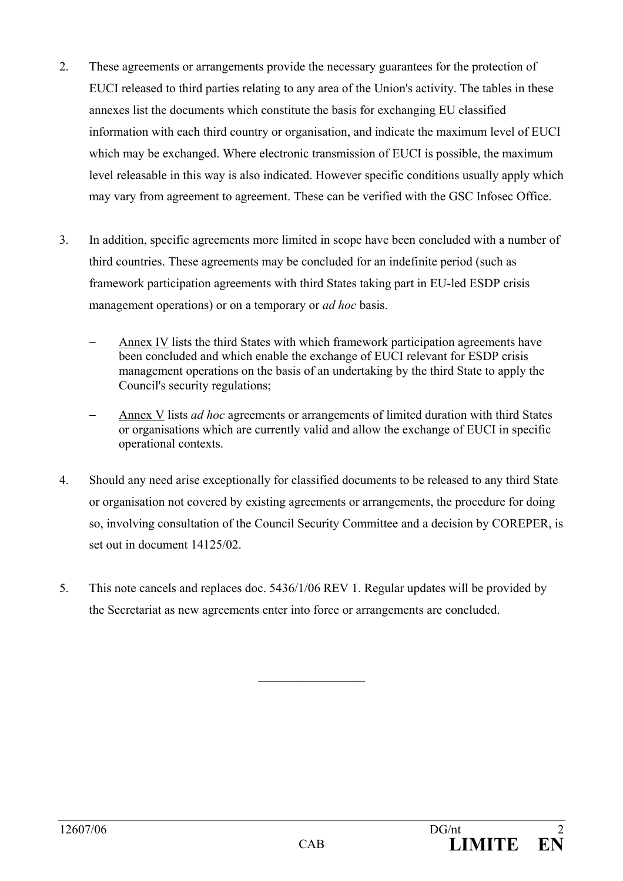- 2. These agreements or arrangements provide the necessary guarantees for the protection of EUCI released to third parties relating to any area of the Union's activity. The tables in these annexes list the documents which constitute the basis for exchanging EU classified information with each third country or organisation, and indicate the maximum level of EUCI which may be exchanged. Where electronic transmission of EUCI is possible, the maximum level releasable in this way is also indicated. However specific conditions usually apply which may vary from agreement to agreement. These can be verified with the GSC Infosec Office.
- 3. In addition, specific agreements more limited in scope have been concluded with a number of third countries. These agreements may be concluded for an indefinite period (such as framework participation agreements with third States taking part in EU-led ESDP crisis management operations) or on a temporary or *ad hoc* basis.
	- Annex IV lists the third States with which framework participation agreements have been concluded and which enable the exchange of EUCI relevant for ESDP crisis management operations on the basis of an undertaking by the third State to apply the Council's security regulations;
	- − Annex V lists *ad hoc* agreements or arrangements of limited duration with third States or organisations which are currently valid and allow the exchange of EUCI in specific operational contexts.
- 4. Should any need arise exceptionally for classified documents to be released to any third State or organisation not covered by existing agreements or arrangements, the procedure for doing so, involving consultation of the Council Security Committee and a decision by COREPER, is set out in document 14125/02.
- 5. This note cancels and replaces doc. 5436/1/06 REV 1. Regular updates will be provided by the Secretariat as new agreements enter into force or arrangements are concluded.

 $\frac{1}{2}$  ,  $\frac{1}{2}$  ,  $\frac{1}{2}$  ,  $\frac{1}{2}$  ,  $\frac{1}{2}$  ,  $\frac{1}{2}$  ,  $\frac{1}{2}$  ,  $\frac{1}{2}$  ,  $\frac{1}{2}$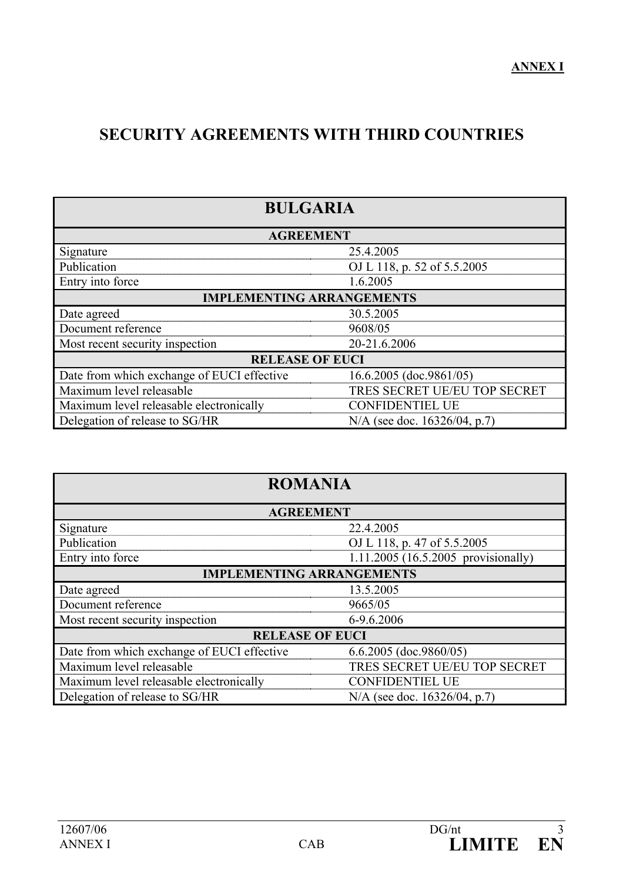## **SECURITY AGREEMENTS WITH THIRD COUNTRIES**

| <b>BULGARIA</b>                            |                              |  |
|--------------------------------------------|------------------------------|--|
| <b>AGREEMENT</b>                           |                              |  |
| Signature                                  | 25.4.2005                    |  |
| Publication                                | OJ L 118, p. 52 of 5.5.2005  |  |
| Entry into force                           | 1.6.2005                     |  |
| <b>IMPLEMENTING ARRANGEMENTS</b>           |                              |  |
| Date agreed                                | 30.5.2005                    |  |
| Document reference                         | 9608/05                      |  |
| Most recent security inspection            | 20-21.6.2006                 |  |
| <b>RELEASE OF EUCI</b>                     |                              |  |
| Date from which exchange of EUCI effective | 16.6.2005 (doc.9861/05)      |  |
| Maximum level releasable                   | TRES SECRET UE/EU TOP SECRET |  |
| Maximum level releasable electronically    | <b>CONFIDENTIEL UE</b>       |  |
| Delegation of release to SG/HR             | N/A (see doc. 16326/04, p.7) |  |

| <b>ROMANIA</b>                                                    |                                     |  |
|-------------------------------------------------------------------|-------------------------------------|--|
| <b>AGREEMENT</b>                                                  |                                     |  |
| Signature                                                         | 22.4.2005                           |  |
| Publication                                                       | OJ L 118, p. 47 of 5.5.2005         |  |
| Entry into force                                                  | 1.11.2005 (16.5.2005 provisionally) |  |
| <b>IMPLEMENTING ARRANGEMENTS</b>                                  |                                     |  |
| Date agreed                                                       | 13.5.2005                           |  |
| Document reference                                                | 9665/05                             |  |
| Most recent security inspection                                   | 6-9.6.2006                          |  |
| <b>RELEASE OF EUCI</b>                                            |                                     |  |
| Date from which exchange of EUCI effective                        | 6.6.2005 (doc.9860/05)              |  |
| Maximum level releasable                                          | TRES SECRET UE/EU TOP SECRET        |  |
| Maximum level releasable electronically<br><b>CONFIDENTIEL UE</b> |                                     |  |
| Delegation of release to SG/HR<br>N/A (see doc. 16326/04, p.7)    |                                     |  |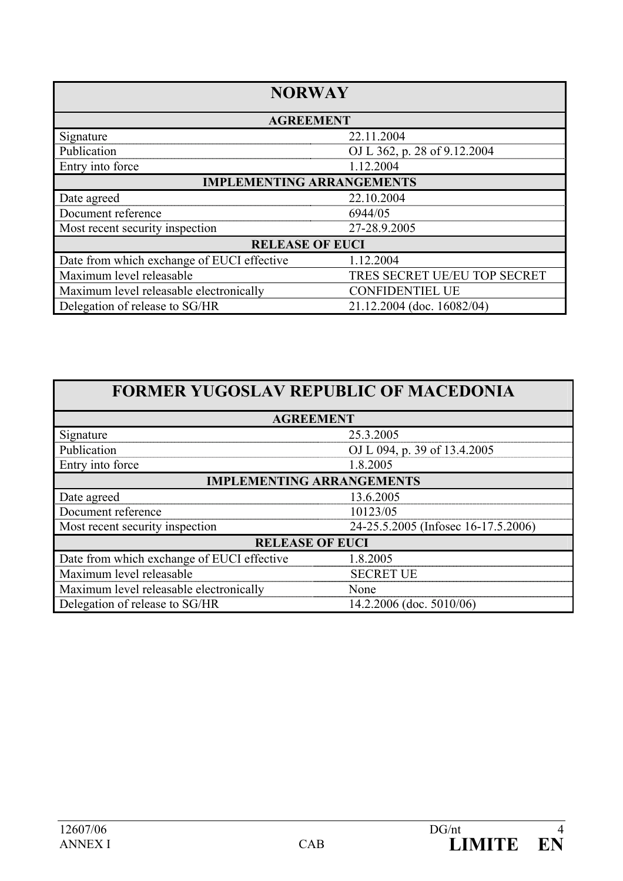| <b>NORWAY</b>                                                     |                              |  |
|-------------------------------------------------------------------|------------------------------|--|
| <b>AGREEMENT</b>                                                  |                              |  |
| Signature                                                         | 22.11.2004                   |  |
| Publication                                                       | OJ L 362, p. 28 of 9.12.2004 |  |
| Entry into force                                                  | 1.12.2004                    |  |
| <b>IMPLEMENTING ARRANGEMENTS</b>                                  |                              |  |
| Date agreed                                                       | 22.10.2004                   |  |
| Document reference                                                | 6944/05                      |  |
| Most recent security inspection                                   | 27-28.9.2005                 |  |
| <b>RELEASE OF EUCI</b>                                            |                              |  |
| Date from which exchange of EUCI effective                        | 1.12.2004                    |  |
| Maximum level releasable                                          | TRES SECRET UE/EU TOP SECRET |  |
| Maximum level releasable electronically<br><b>CONFIDENTIEL UE</b> |                              |  |
| Delegation of release to SG/HR<br>21.12.2004 (doc. 16082/04)      |                              |  |

| <b>AGREEMENT</b>                           |                                     |  |
|--------------------------------------------|-------------------------------------|--|
| Signature                                  | 25.3.2005                           |  |
| Publication                                | OJ L 094, p. 39 of 13.4.2005        |  |
| Entry into force                           | 1.8.2005                            |  |
| <b>IMPLEMENTING ARRANGEMENTS</b>           |                                     |  |
| Date agreed                                | 13.6.2005                           |  |
| Document reference                         | 10123/05                            |  |
| Most recent security inspection            | 24-25.5.2005 (Infosec 16-17.5.2006) |  |
| <b>RELEASE OF EUCI</b>                     |                                     |  |
| Date from which exchange of EUCI effective | 1.8.2005                            |  |
| Maximum level releasable                   | <b>SECRET UE</b>                    |  |
| Maximum level releasable electronically    | None                                |  |
| Delegation of release to SG/HR             | $14.2.2006$ (doc. 5010/06)          |  |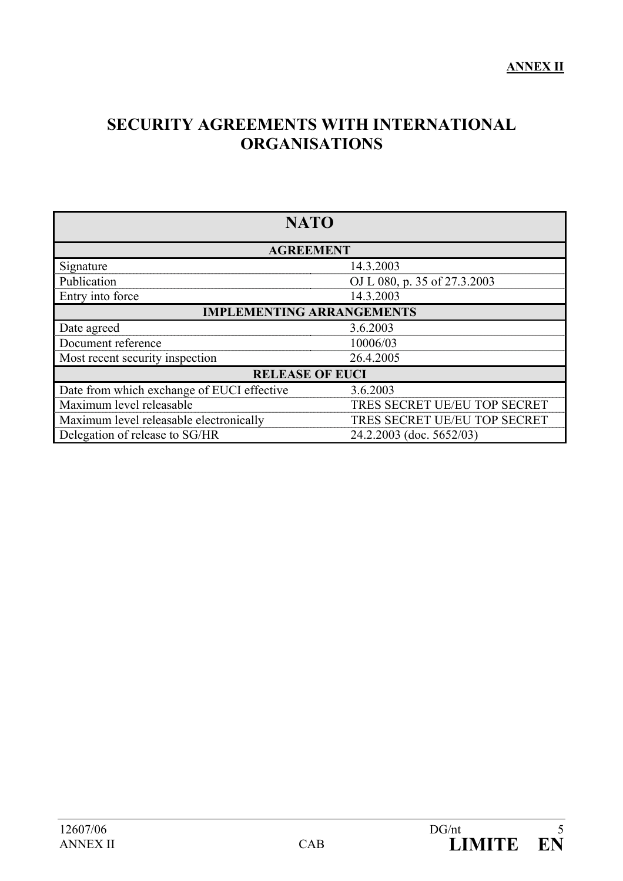## **SECURITY AGREEMENTS WITH INTERNATIONAL ORGANISATIONS**

| <b>NATO</b>                                |                              |  |
|--------------------------------------------|------------------------------|--|
| <b>AGREEMENT</b>                           |                              |  |
| Signature                                  | 14.3.2003                    |  |
| Publication                                | OJ L 080, p. 35 of 27.3.2003 |  |
| Entry into force                           | 14.3.2003                    |  |
| <b>IMPLEMENTING ARRANGEMENTS</b>           |                              |  |
| Date agreed                                | 3.6.2003                     |  |
| Document reference                         | 10006/03                     |  |
| Most recent security inspection            | 26.4.2005                    |  |
| <b>RELEASE OF EUCI</b>                     |                              |  |
| Date from which exchange of EUCI effective | 3.6.2003                     |  |
| Maximum level releasable                   | TRES SECRET UE/EU TOP SECRET |  |
| Maximum level releasable electronically    | TRES SECRET UE/EU TOP SECRET |  |
| Delegation of release to SG/HR             | 24.2.2003 (doc. 5652/03)     |  |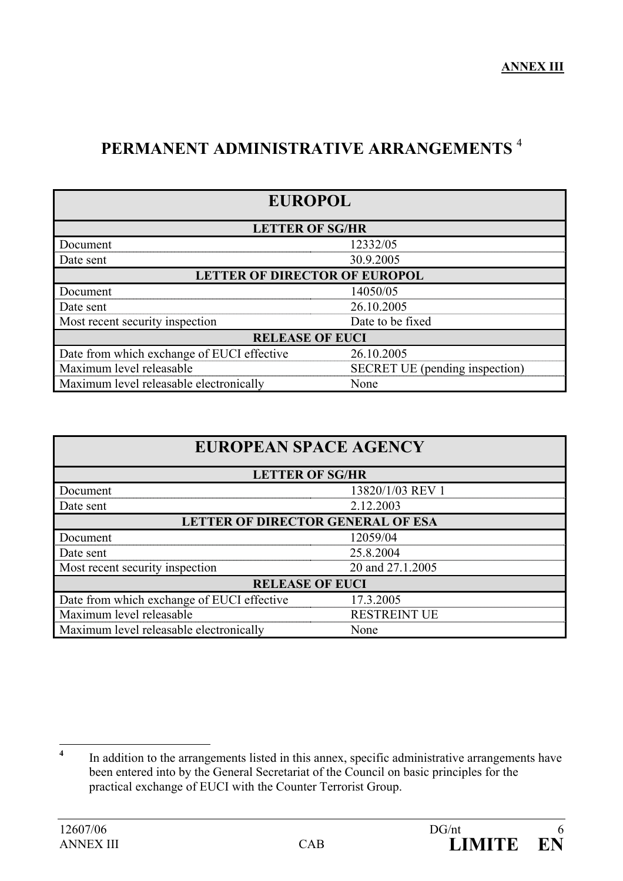# **PERMANENT ADMINISTRATIVE ARRANGEMENTS** <sup>4</sup>

| <b>EUROPOL</b>                                                    |                        |  |  |
|-------------------------------------------------------------------|------------------------|--|--|
|                                                                   | <b>LETTER OF SG/HR</b> |  |  |
| Document                                                          | 12332/05               |  |  |
| Date sent                                                         | 30.9.2005              |  |  |
| <b>LETTER OF DIRECTOR OF EUROPOL</b>                              |                        |  |  |
| Document                                                          | 14050/05               |  |  |
| Date sent                                                         | 26.10.2005             |  |  |
| Most recent security inspection                                   | Date to be fixed       |  |  |
| <b>RELEASE OF EUCI</b>                                            |                        |  |  |
| Date from which exchange of EUCI effective                        | 26.10.2005             |  |  |
| Maximum level releasable<br><b>SECRET UE</b> (pending inspection) |                        |  |  |
| Maximum level releasable electronically<br>None                   |                        |  |  |

| <b>EUROPEAN SPACE AGENCY</b>                    |                  |  |
|-------------------------------------------------|------------------|--|
| <b>LETTER OF SG/HR</b>                          |                  |  |
| Document                                        | 13820/1/03 REV 1 |  |
| Date sent                                       | 2.12.2003        |  |
| <b>LETTER OF DIRECTOR GENERAL OF ESA</b>        |                  |  |
| Document                                        | 12059/04         |  |
| Date sent                                       | 25.8.2004        |  |
| Most recent security inspection                 | 20 and 27.1.2005 |  |
| <b>RELEASE OF EUCI</b>                          |                  |  |
| Date from which exchange of EUCI effective      | 17.3.2005        |  |
| Maximum level releasable<br><b>RESTREINT UE</b> |                  |  |
| Maximum level releasable electronically<br>None |                  |  |

 **4** In addition to the arrangements listed in this annex, specific administrative arrangements have been entered into by the General Secretariat of the Council on basic principles for the practical exchange of EUCI with the Counter Terrorist Group.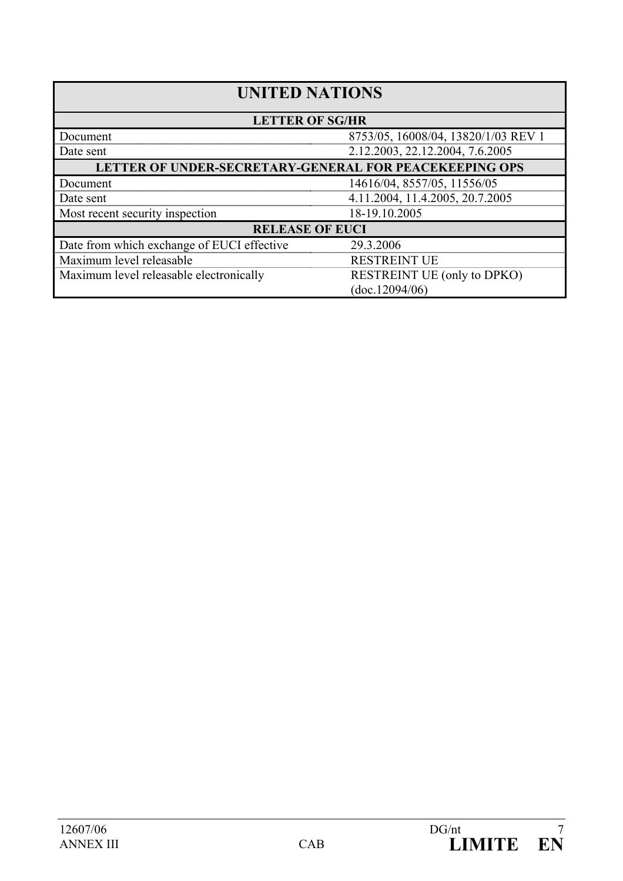| <b>UNITED NATIONS</b>                                                         |                                     |  |
|-------------------------------------------------------------------------------|-------------------------------------|--|
| <b>LETTER OF SG/HR</b>                                                        |                                     |  |
| Document                                                                      | 8753/05, 16008/04, 13820/1/03 REV 1 |  |
| Date sent                                                                     | 2.12.2003, 22.12.2004, 7.6.2005     |  |
| LETTER OF UNDER-SECRETARY-GENERAL FOR PEACEKEEPING OPS                        |                                     |  |
| Document                                                                      | 14616/04, 8557/05, 11556/05         |  |
| Date sent                                                                     | 4.11.2004, 11.4.2005, 20.7.2005     |  |
| Most recent security inspection                                               | 18-19.10.2005                       |  |
| <b>RELEASE OF EUCI</b>                                                        |                                     |  |
| Date from which exchange of EUCI effective                                    | 29.3.2006                           |  |
| Maximum level releasable                                                      | <b>RESTREINT UE</b>                 |  |
| Maximum level releasable electronically<br><b>RESTREINT UE (only to DPKO)</b> |                                     |  |
|                                                                               | (doc.12094/06)                      |  |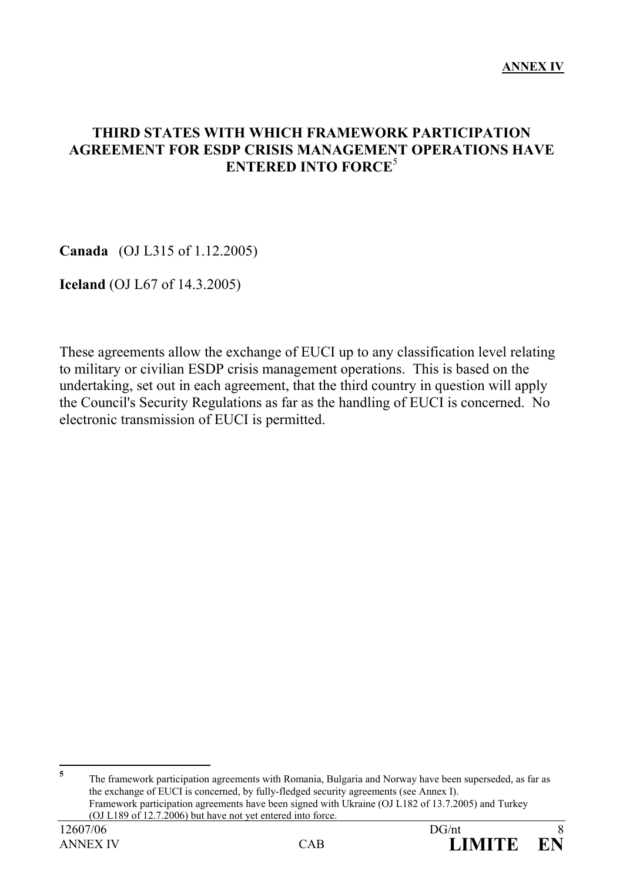### **THIRD STATES WITH WHICH FRAMEWORK PARTICIPATION AGREEMENT FOR ESDP CRISIS MANAGEMENT OPERATIONS HAVE ENTERED INTO FORCE**<sup>5</sup>

**Canada** (OJ L315 of 1.12.2005)

**Iceland** (OJ L67 of 14.3.2005)

These agreements allow the exchange of EUCI up to any classification level relating to military or civilian ESDP crisis management operations. This is based on the undertaking, set out in each agreement, that the third country in question will apply the Council's Security Regulations as far as the handling of EUCI is concerned. No electronic transmission of EUCI is permitted.

 **5** The framework participation agreements with Romania, Bulgaria and Norway have been superseded, as far as the exchange of EUCI is concerned, by fully-fledged security agreements (see Annex I). Framework participation agreements have been signed with Ukraine (OJ L182 of 13.7.2005) and Turkey (OJ L189 of 12.7.2006) but have not yet entered into force.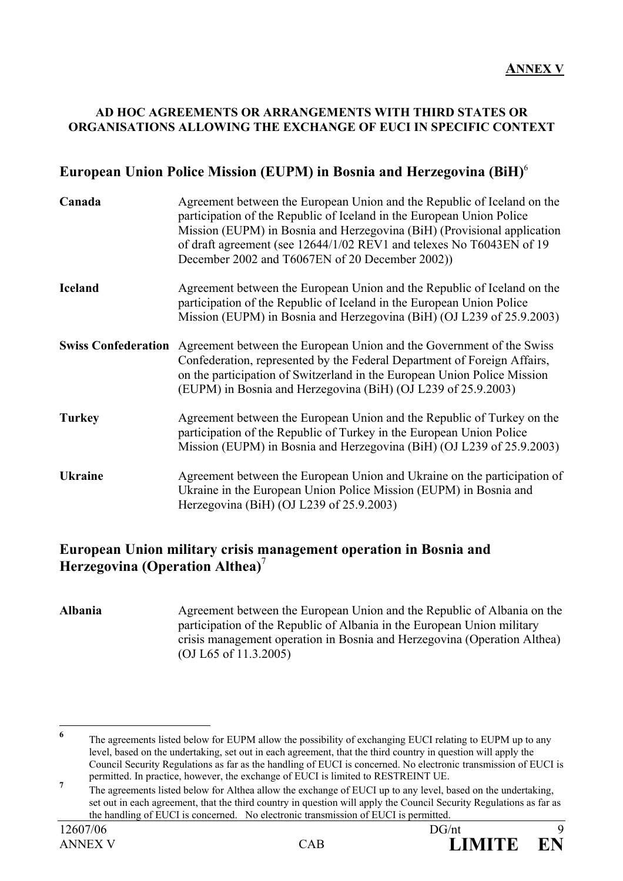#### **AD HOC AGREEMENTS OR ARRANGEMENTS WITH THIRD STATES OR ORGANISATIONS ALLOWING THE EXCHANGE OF EUCI IN SPECIFIC CONTEXT**

### **European Union Police Mission (EUPM) in Bosnia and Herzegovina (BiH)**<sup>6</sup>

| Canada         | Agreement between the European Union and the Republic of Iceland on the<br>participation of the Republic of Iceland in the European Union Police<br>Mission (EUPM) in Bosnia and Herzegovina (BiH) (Provisional application<br>of draft agreement (see 12644/1/02 REV1 and telexes No T6043EN of 19<br>December 2002 and T6067EN of 20 December 2002)) |
|----------------|--------------------------------------------------------------------------------------------------------------------------------------------------------------------------------------------------------------------------------------------------------------------------------------------------------------------------------------------------------|
| <b>Iceland</b> | Agreement between the European Union and the Republic of Iceland on the<br>participation of the Republic of Iceland in the European Union Police<br>Mission (EUPM) in Bosnia and Herzegovina (BiH) (OJ L239 of 25.9.2003)                                                                                                                              |
|                | <b>Swiss Confederation</b> Agreement between the European Union and the Government of the Swiss<br>Confederation, represented by the Federal Department of Foreign Affairs,<br>on the participation of Switzerland in the European Union Police Mission<br>(EUPM) in Bosnia and Herzegovina (BiH) (OJ L239 of 25.9.2003)                               |
| <b>Turkey</b>  | Agreement between the European Union and the Republic of Turkey on the<br>participation of the Republic of Turkey in the European Union Police<br>Mission (EUPM) in Bosnia and Herzegovina (BiH) (OJ L239 of 25.9.2003)                                                                                                                                |
| <b>Ukraine</b> | Agreement between the European Union and Ukraine on the participation of<br>Ukraine in the European Union Police Mission (EUPM) in Bosnia and<br>Herzegovina (BiH) (OJ L239 of 25.9.2003)                                                                                                                                                              |

#### **European Union military crisis management operation in Bosnia and Herzegovina (Operation Althea)**<sup>7</sup>

**Albania** Agreement between the European Union and the Republic of Albania on the participation of the Republic of Albania in the European Union military crisis management operation in Bosnia and Herzegovina (Operation Althea) (OJ L65 of 11.3.2005)

 **6** The agreements listed below for EUPM allow the possibility of exchanging EUCI relating to EUPM up to any level, based on the undertaking, set out in each agreement, that the third country in question will apply the Council Security Regulations as far as the handling of EUCI is concerned. No electronic transmission of EUCI is permitted. In practice, however, the exchange of EUCI is limited to RESTREINT UE.

**<sup>7</sup>** The agreements listed below for Althea allow the exchange of EUCI up to any level, based on the undertaking, set out in each agreement, that the third country in question will apply the Council Security Regulations as far as the handling of EUCI is concerned. No electronic transmission of EUCI is permitted.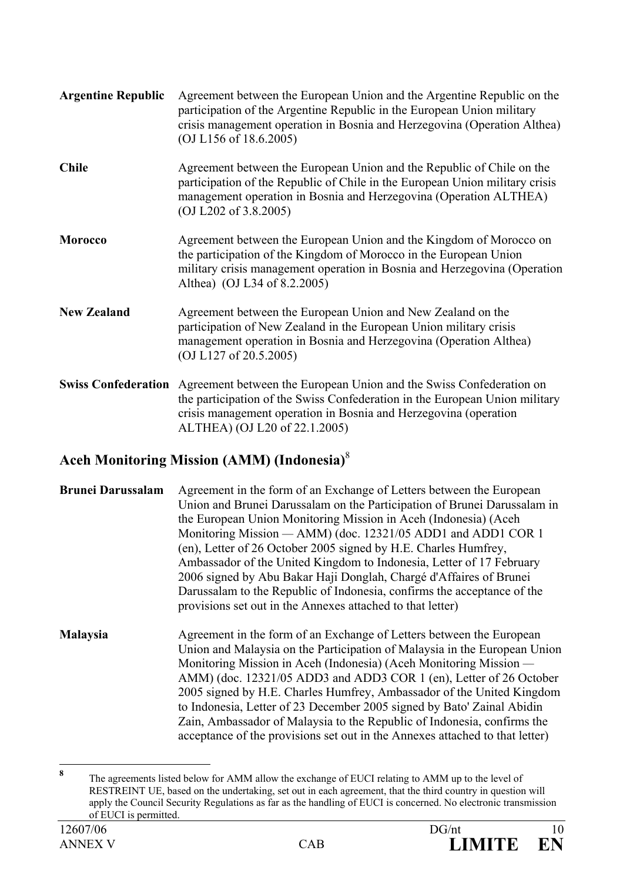| <b>Argentine Republic</b>  | Agreement between the European Union and the Argentine Republic on the<br>participation of the Argentine Republic in the European Union military<br>crisis management operation in Bosnia and Herzegovina (Operation Althea)<br>(O <sup>J</sup> L156 of 18.6.2005) |
|----------------------------|--------------------------------------------------------------------------------------------------------------------------------------------------------------------------------------------------------------------------------------------------------------------|
| <b>Chile</b>               | Agreement between the European Union and the Republic of Chile on the<br>participation of the Republic of Chile in the European Union military crisis<br>management operation in Bosnia and Herzegovina (Operation ALTHEA)<br>(OJ L202 of 3.8.2005)                |
| <b>Morocco</b>             | Agreement between the European Union and the Kingdom of Morocco on<br>the participation of the Kingdom of Morocco in the European Union<br>military crisis management operation in Bosnia and Herzegovina (Operation<br>Althea) (OJ L34 of 8.2.2005)               |
| <b>New Zealand</b>         | Agreement between the European Union and New Zealand on the<br>participation of New Zealand in the European Union military crisis<br>management operation in Bosnia and Herzegovina (Operation Althea)<br>(OJ L127 of 20.5.2005)                                   |
| <b>Swiss Confederation</b> | Agreement between the European Union and the Swiss Confederation on<br>the participation of the Swiss Confederation in the European Union military<br>crisis management operation in Bosnia and Herzegovina (operation<br>ALTHEA) (OJ L20 of 22.1.2005)            |

## **Aceh Monitoring Mission (AMM) (Indonesia)**<sup>8</sup>

**Brunei Darussalam** Agreement in the form of an Exchange of Letters between the European Union and Brunei Darussalam on the Participation of Brunei Darussalam in the European Union Monitoring Mission in Aceh (Indonesia) (Aceh Monitoring Mission *—* AMM) (doc. 12321/05 ADD1 and ADD1 COR 1 (en), Letter of 26 October 2005 signed by H.E. Charles Humfrey, Ambassador of the United Kingdom to Indonesia, Letter of 17 February 2006 signed by Abu Bakar Haji Donglah, Chargé d'Affaires of Brunei Darussalam to the Republic of Indonesia, confirms the acceptance of the provisions set out in the Annexes attached to that letter)

**Malaysia** Agreement in the form of an Exchange of Letters between the European Union and Malaysia on the Participation of Malaysia in the European Union Monitoring Mission in Aceh (Indonesia) (Aceh Monitoring Mission *—*  AMM) (doc. 12321/05 ADD3 and ADD3 COR 1 (en), Letter of 26 October 2005 signed by H.E. Charles Humfrey, Ambassador of the United Kingdom to Indonesia, Letter of 23 December 2005 signed by Bato' Zainal Abidin Zain, Ambassador of Malaysia to the Republic of Indonesia, confirms the acceptance of the provisions set out in the Annexes attached to that letter)

 **8** The agreements listed below for AMM allow the exchange of EUCI relating to AMM up to the level of RESTREINT UE, based on the undertaking, set out in each agreement, that the third country in question will apply the Council Security Regulations as far as the handling of EUCI is concerned. No electronic transmission of EUCI is permitted.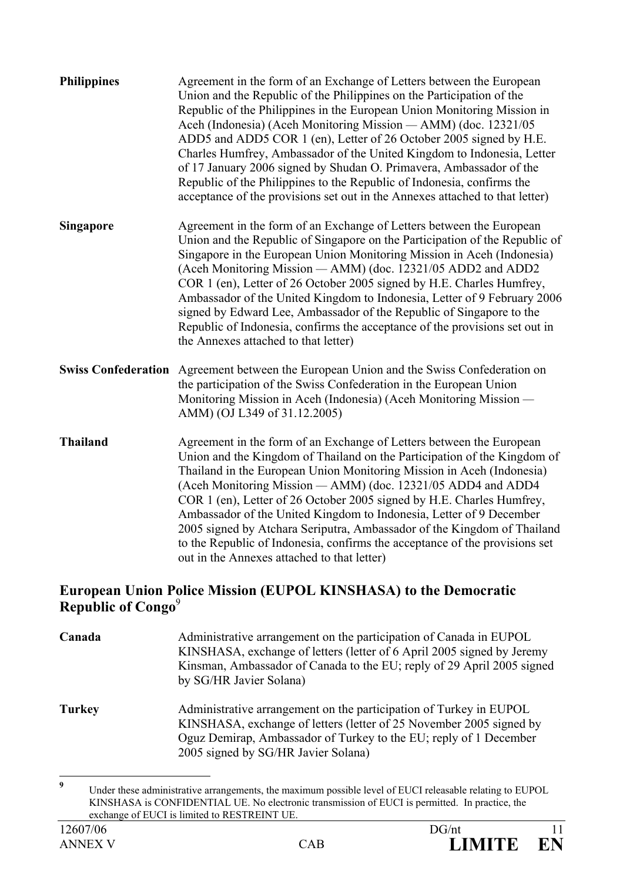| <b>Philippines</b>         | Agreement in the form of an Exchange of Letters between the European<br>Union and the Republic of the Philippines on the Participation of the<br>Republic of the Philippines in the European Union Monitoring Mission in<br>Aceh (Indonesia) (Aceh Monitoring Mission - AMM) (doc. 12321/05<br>ADD5 and ADD5 COR 1 (en), Letter of 26 October 2005 signed by H.E.<br>Charles Humfrey, Ambassador of the United Kingdom to Indonesia, Letter<br>of 17 January 2006 signed by Shudan O. Primavera, Ambassador of the<br>Republic of the Philippines to the Republic of Indonesia, confirms the<br>acceptance of the provisions set out in the Annexes attached to that letter) |
|----------------------------|------------------------------------------------------------------------------------------------------------------------------------------------------------------------------------------------------------------------------------------------------------------------------------------------------------------------------------------------------------------------------------------------------------------------------------------------------------------------------------------------------------------------------------------------------------------------------------------------------------------------------------------------------------------------------|
| <b>Singapore</b>           | Agreement in the form of an Exchange of Letters between the European<br>Union and the Republic of Singapore on the Participation of the Republic of<br>Singapore in the European Union Monitoring Mission in Aceh (Indonesia)<br>(Aceh Monitoring Mission - AMM) (doc. 12321/05 ADD2 and ADD2<br>COR 1 (en), Letter of 26 October 2005 signed by H.E. Charles Humfrey,<br>Ambassador of the United Kingdom to Indonesia, Letter of 9 February 2006<br>signed by Edward Lee, Ambassador of the Republic of Singapore to the<br>Republic of Indonesia, confirms the acceptance of the provisions set out in<br>the Annexes attached to that letter)                            |
| <b>Swiss Confederation</b> | Agreement between the European Union and the Swiss Confederation on<br>the participation of the Swiss Confederation in the European Union<br>Monitoring Mission in Aceh (Indonesia) (Aceh Monitoring Mission -<br>AMM) (OJ L349 of 31.12.2005)                                                                                                                                                                                                                                                                                                                                                                                                                               |
| <b>Thailand</b>            | Agreement in the form of an Exchange of Letters between the European<br>Union and the Kingdom of Thailand on the Participation of the Kingdom of<br>Thailand in the European Union Monitoring Mission in Aceh (Indonesia)<br>(Aceh Monitoring Mission — AMM) (doc. 12321/05 ADD4 and ADD4<br>COR 1 (en), Letter of 26 October 2005 signed by H.E. Charles Humfrey,<br>Ambassador of the United Kingdom to Indonesia, Letter of 9 December<br>2005 signed by Atchara Seriputra, Ambassador of the Kingdom of Thailand<br>to the Republic of Indonesia, confirms the acceptance of the provisions set<br>out in the Annexes attached to that letter)                           |

#### **European Union Police Mission (EUPOL KINSHASA) to the Democratic Republic of Congo**<sup>9</sup>

| Canada        | Administrative arrangement on the participation of Canada in EUPOL<br>KINSHASA, exchange of letters (letter of 6 April 2005 signed by Jeremy<br>Kinsman, Ambassador of Canada to the EU; reply of 29 April 2005 signed<br>by SG/HR Javier Solana)     |
|---------------|-------------------------------------------------------------------------------------------------------------------------------------------------------------------------------------------------------------------------------------------------------|
| <b>Turkey</b> | Administrative arrangement on the participation of Turkey in EUPOL<br>KINSHASA, exchange of letters (letter of 25 November 2005 signed by<br>Oguz Demirap, Ambassador of Turkey to the EU; reply of 1 December<br>2005 signed by SG/HR Javier Solana) |

 **9** Under these administrative arrangements, the maximum possible level of EUCI releasable relating to EUPOL KINSHASA is CONFIDENTIAL UE. No electronic transmission of EUCI is permitted. In practice, the exchange of EUCI is limited to RESTREINT UE.